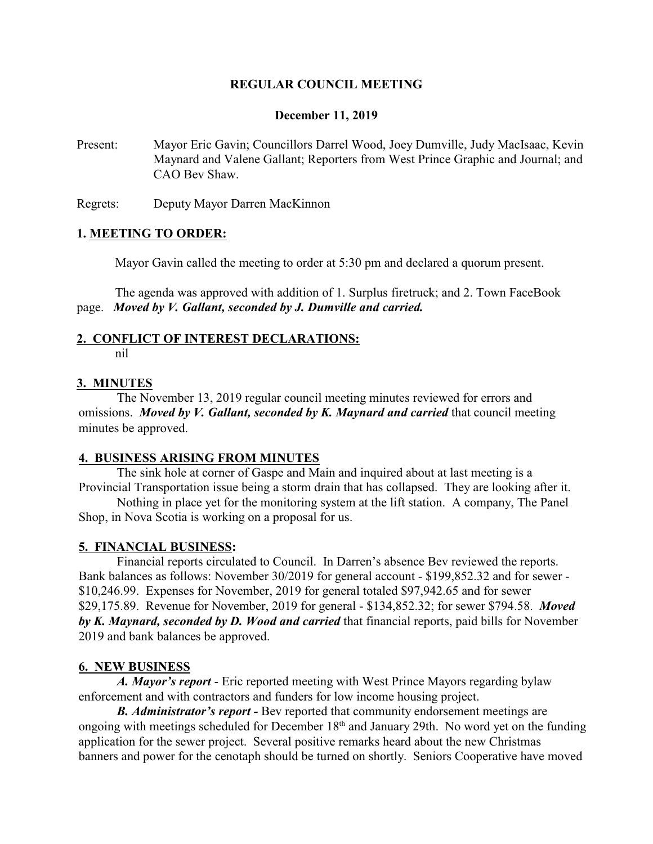# **REGULAR COUNCIL MEETING**

#### **December 11, 2019**

Present: Mayor Eric Gavin; Councillors Darrel Wood, Joey Dumville, Judy MacIsaac, Kevin Maynard and Valene Gallant; Reporters from West Prince Graphic and Journal; and CAO Bev Shaw.

Regrets: Deputy Mayor Darren MacKinnon

#### **1. MEETING TO ORDER:**

Mayor Gavin called the meeting to order at 5:30 pm and declared a quorum present.

The agenda was approved with addition of 1. Surplus firetruck; and 2. Town FaceBook page. *Moved by V. Gallant, seconded by J. Dumville and carried.*

# **2. CONFLICT OF INTEREST DECLARATIONS:**

nil

#### **3. MINUTES**

The November 13, 2019 regular council meeting minutes reviewed for errors and omissions. *Moved by V. Gallant, seconded by K. Maynard and carried* that council meeting minutes be approved.

# **4. BUSINESS ARISING FROM MINUTES**

The sink hole at corner of Gaspe and Main and inquired about at last meeting is a Provincial Transportation issue being a storm drain that has collapsed. They are looking after it.

Nothing in place yet for the monitoring system at the lift station. A company, The Panel Shop, in Nova Scotia is working on a proposal for us.

#### **5. FINANCIAL BUSINESS:**

Financial reports circulated to Council. In Darren's absence Bev reviewed the reports. Bank balances as follows: November 30/2019 for general account - \$199,852.32 and for sewer - \$10,246.99. Expenses for November, 2019 for general totaled \$97,942.65 and for sewer \$29,175.89. Revenue for November, 2019 for general - \$134,852.32; for sewer \$794.58. *Moved by K. Maynard, seconded by D. Wood and carried* that financial reports, paid bills for November 2019 and bank balances be approved.

# **6. NEW BUSINESS**

*A. Mayor's report* - Eric reported meeting with West Prince Mayors regarding bylaw enforcement and with contractors and funders for low income housing project.

*B. Administrator's report -* Bev reported that community endorsement meetings are ongoing with meetings scheduled for December 18<sup>th</sup> and January 29th. No word yet on the funding application for the sewer project. Several positive remarks heard about the new Christmas banners and power for the cenotaph should be turned on shortly. Seniors Cooperative have moved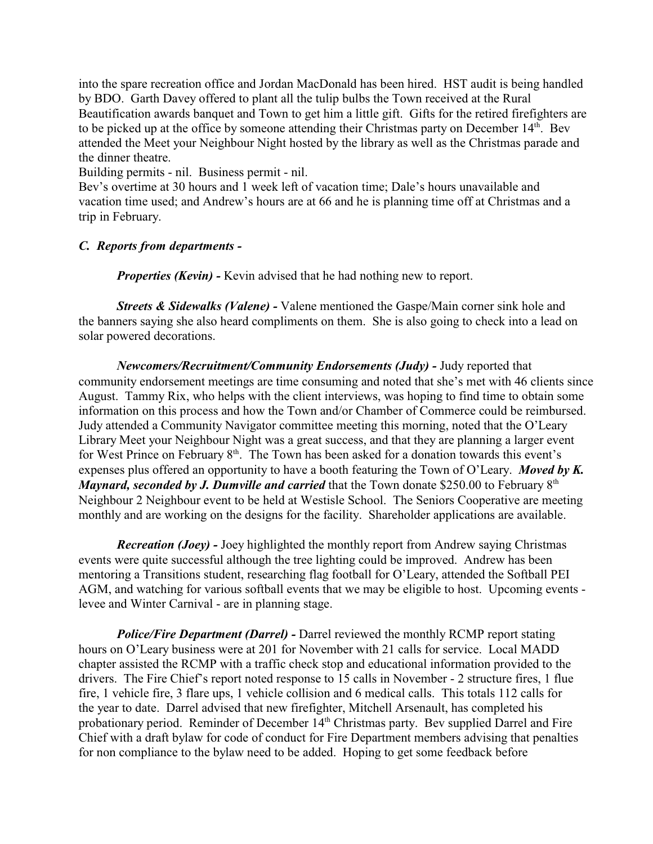into the spare recreation office and Jordan MacDonald has been hired. HST audit is being handled by BDO. Garth Davey offered to plant all the tulip bulbs the Town received at the Rural Beautification awards banquet and Town to get him a little gift. Gifts for the retired firefighters are to be picked up at the office by someone attending their Christmas party on December 14<sup>th</sup>. Bev attended the Meet your Neighbour Night hosted by the library as well as the Christmas parade and the dinner theatre.

Building permits - nil. Business permit - nil.

Bev's overtime at 30 hours and 1 week left of vacation time; Dale's hours unavailable and vacation time used; and Andrew's hours are at 66 and he is planning time off at Christmas and a trip in February.

# *C. Reports from departments -*

*Properties (Kevin) -* Kevin advised that he had nothing new to report.

*Streets & Sidewalks (Valene) -* Valene mentioned the Gaspe/Main corner sink hole and the banners saying she also heard compliments on them. She is also going to check into a lead on solar powered decorations.

*Newcomers/Recruitment/Community Endorsements (Judy)* - Judy reported that community endorsement meetings are time consuming and noted that she's met with 46 clients since August. Tammy Rix, who helps with the client interviews, was hoping to find time to obtain some information on this process and how the Town and/or Chamber of Commerce could be reimbursed. Judy attended a Community Navigator committee meeting this morning, noted that the O'Leary Library Meet your Neighbour Night was a great success, and that they are planning a larger event for West Prince on February 8<sup>th</sup>. The Town has been asked for a donation towards this event's expenses plus offered an opportunity to have a booth featuring the Town of O'Leary. *Moved by K. Maynard, seconded by J. Dumville and carried* that the Town donate \$250.00 to February 8<sup>th</sup> Neighbour 2 Neighbour event to be held at Westisle School. The Seniors Cooperative are meeting monthly and are working on the designs for the facility. Shareholder applications are available.

*Recreation (Joey) -* Joey highlighted the monthly report from Andrew saying Christmas events were quite successful although the tree lighting could be improved. Andrew has been mentoring a Transitions student, researching flag football for O'Leary, attended the Softball PEI AGM, and watching for various softball events that we may be eligible to host. Upcoming events levee and Winter Carnival - are in planning stage.

*Police/Fire Department (Darrel) - Darrel reviewed the monthly RCMP report stating* hours on O'Leary business were at 201 for November with 21 calls for service. Local MADD chapter assisted the RCMP with a traffic check stop and educational information provided to the drivers. The Fire Chief's report noted response to 15 calls in November - 2 structure fires, 1 flue fire, 1 vehicle fire, 3 flare ups, 1 vehicle collision and 6 medical calls. This totals 112 calls for the year to date. Darrel advised that new firefighter, Mitchell Arsenault, has completed his probationary period. Reminder of December 14<sup>th</sup> Christmas party. Bev supplied Darrel and Fire Chief with a draft bylaw for code of conduct for Fire Department members advising that penalties for non compliance to the bylaw need to be added. Hoping to get some feedback before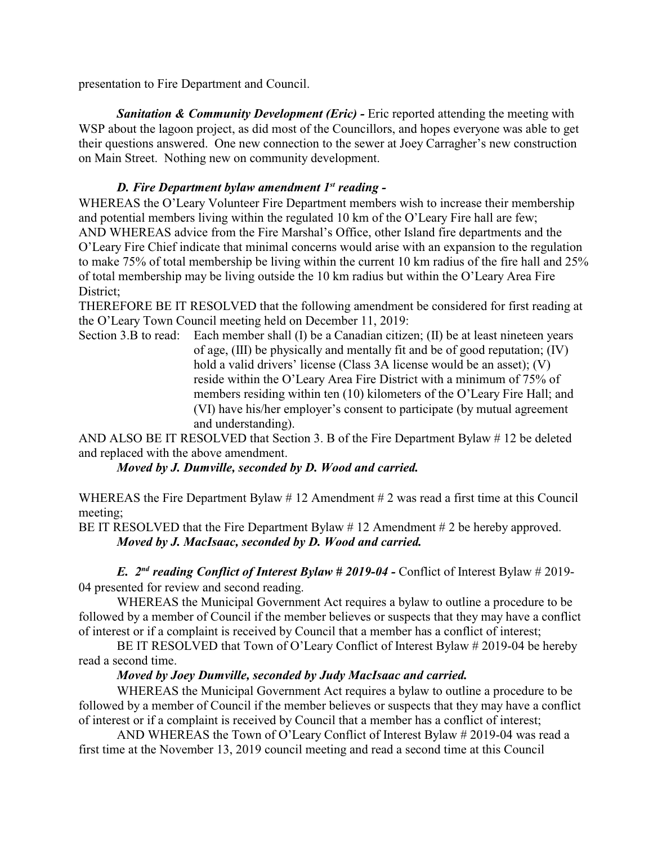presentation to Fire Department and Council.

**Sanitation & Community Development (Eric) - Eric reported attending the meeting with** WSP about the lagoon project, as did most of the Councillors, and hopes everyone was able to get their questions answered. One new connection to the sewer at Joey Carragher's new construction on Main Street. Nothing new on community development.

# *D. Fire Department bylaw amendment 1st reading -*

WHEREAS the O'Leary Volunteer Fire Department members wish to increase their membership and potential members living within the regulated 10 km of the O'Leary Fire hall are few; AND WHEREAS advice from the Fire Marshal's Office, other Island fire departments and the O'Leary Fire Chief indicate that minimal concerns would arise with an expansion to the regulation to make 75% of total membership be living within the current 10 km radius of the fire hall and 25% of total membership may be living outside the 10 km radius but within the O'Leary Area Fire District;

THEREFORE BE IT RESOLVED that the following amendment be considered for first reading at the O'Leary Town Council meeting held on December 11, 2019:

Section 3.B to read: Each member shall (I) be a Canadian citizen; (II) be at least nineteen years of age, (III) be physically and mentally fit and be of good reputation; (IV) hold a valid drivers' license (Class 3A license would be an asset); (V) reside within the O'Leary Area Fire District with a minimum of 75% of members residing within ten (10) kilometers of the O'Leary Fire Hall; and (VI) have his/her employer's consent to participate (by mutual agreement and understanding).

AND ALSO BE IT RESOLVED that Section 3. B of the Fire Department Bylaw # 12 be deleted and replaced with the above amendment.

*Moved by J. Dumville, seconded by D. Wood and carried.*

WHEREAS the Fire Department Bylaw # 12 Amendment # 2 was read a first time at this Council meeting;

BE IT RESOLVED that the Fire Department Bylaw #12 Amendment #2 be hereby approved. *Moved by J. MacIsaac, seconded by D. Wood and carried.*

*E. 2nd reading Conflict of Interest Bylaw # 2019-04 -* Conflict of Interest Bylaw # 2019- 04 presented for review and second reading.

WHEREAS the Municipal Government Act requires a bylaw to outline a procedure to be followed by a member of Council if the member believes or suspects that they may have a conflict of interest or if a complaint is received by Council that a member has a conflict of interest;

BE IT RESOLVED that Town of O'Leary Conflict of Interest Bylaw # 2019-04 be hereby read a second time.

# *Moved by Joey Dumville, seconded by Judy MacIsaac and carried.*

WHEREAS the Municipal Government Act requires a bylaw to outline a procedure to be followed by a member of Council if the member believes or suspects that they may have a conflict of interest or if a complaint is received by Council that a member has a conflict of interest;

AND WHEREAS the Town of O'Leary Conflict of Interest Bylaw # 2019-04 was read a first time at the November 13, 2019 council meeting and read a second time at this Council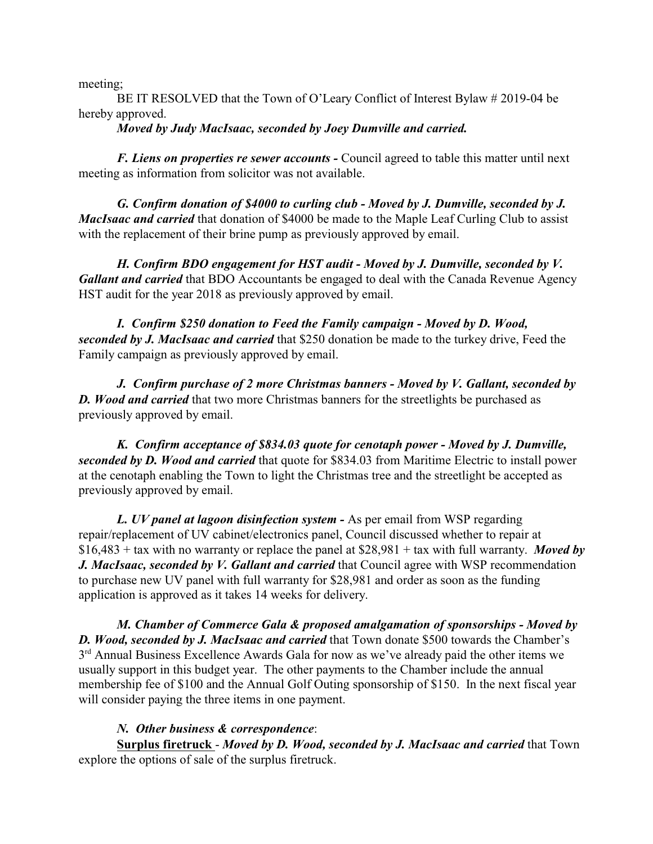meeting;

BE IT RESOLVED that the Town of O'Leary Conflict of Interest Bylaw # 2019-04 be hereby approved.

*Moved by Judy MacIsaac, seconded by Joey Dumville and carried.*

*F. Liens on properties re sewer accounts -* Council agreed to table this matter until next meeting as information from solicitor was not available.

*G. Confirm donation of \$4000 to curling club - Moved by J. Dumville, seconded by J. MacIsaac and carried* that donation of \$4000 be made to the Maple Leaf Curling Club to assist with the replacement of their brine pump as previously approved by email.

*H. Confirm BDO engagement for HST audit - Moved by J. Dumville, seconded by V. Gallant and carried* that BDO Accountants be engaged to deal with the Canada Revenue Agency HST audit for the year 2018 as previously approved by email.

*I. Confirm \$250 donation to Feed the Family campaign - Moved by D. Wood, seconded by J. MacIsaac and carried* that \$250 donation be made to the turkey drive, Feed the Family campaign as previously approved by email.

*J. Confirm purchase of 2 more Christmas banners - Moved by V. Gallant, seconded by D. Wood and carried* that two more Christmas banners for the streetlights be purchased as previously approved by email.

*K. Confirm acceptance of \$834.03 quote for cenotaph power - Moved by J. Dumville, seconded by D. Wood and carried* that quote for \$834.03 from Maritime Electric to install power at the cenotaph enabling the Town to light the Christmas tree and the streetlight be accepted as previously approved by email.

*L. UV panel at lagoon disinfection system -* As per email from WSP regarding repair/replacement of UV cabinet/electronics panel, Council discussed whether to repair at \$16,483 + tax with no warranty or replace the panel at \$28,981 + tax with full warranty. *Moved by J. MacIsaac, seconded by V. Gallant and carried* that Council agree with WSP recommendation to purchase new UV panel with full warranty for \$28,981 and order as soon as the funding application is approved as it takes 14 weeks for delivery.

*M. Chamber of Commerce Gala & proposed amalgamation of sponsorships - Moved by D. Wood, seconded by J. MacIsaac and carried* that Town donate \$500 towards the Chamber's 3<sup>rd</sup> Annual Business Excellence Awards Gala for now as we've already paid the other items we usually support in this budget year. The other payments to the Chamber include the annual membership fee of \$100 and the Annual Golf Outing sponsorship of \$150. In the next fiscal year will consider paying the three items in one payment.

# *N. Other business & correspondence*:

**Surplus firetruck** - *Moved by D. Wood, seconded by J. MacIsaac and carried* that Town explore the options of sale of the surplus firetruck.